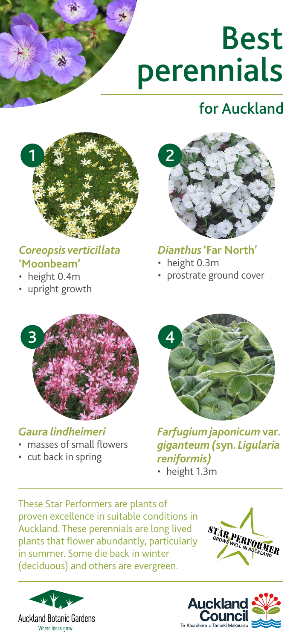# Best perennials

## for Auckland



#### *Coreopsis verticillata*  **'Moonbeam'**

- height 0.4m
- upright growth



#### *Dianthus* **'Far North'**

- height 0.3m
- prostrate ground cover



#### *Gaura lindheimeri*

- masses of small flowers
- cut back in spring



*Farfugium japonicum* **var.**  *giganteum (***syn.** *Ligularia reniformis)* • height 1.3m

These Star Performers are plants of proven excellence in suitable conditions in Auckland. These perennials are long lived plants that flower abundantly, particularly in summer. Some die back in winter (deciduous) and others are evergreen.





**GRAND PERFORMER**